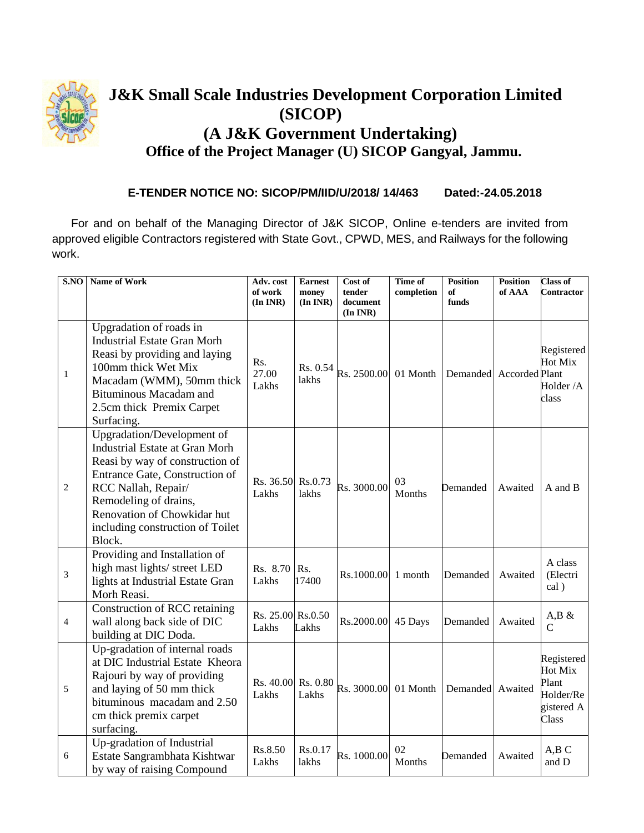

## **J&K Small Scale Industries Development Corporation Limited (SICOP) (A J&K Government Undertaking) Office of the Project Manager (U) SICOP Gangyal, Jammu.**

## **E-TENDER NOTICE NO: SICOP/PM/IID/U/2018/ 14/463 Dated:-24.05.2018**

For and on behalf of the Managing Director of J&K SICOP, Online e-tenders are invited from approved eligible Contractors registered with State Govt., CPWD, MES, and Railways for the following work.

| $\overline{\textbf{S}.\textbf{NO}}$ | Name of Work                                                                                                                                                                                                                                                          | Adv. cost<br>of work<br>$(In\,INR)$ | <b>Earnest</b><br>money<br>(In INR) | Cost of<br>tender<br>document<br>(In INR) | Time of<br>completion | <b>Position</b><br>of<br>funds | <b>Position</b><br>of AAA | <b>Class of</b><br><b>Contractor</b>                               |
|-------------------------------------|-----------------------------------------------------------------------------------------------------------------------------------------------------------------------------------------------------------------------------------------------------------------------|-------------------------------------|-------------------------------------|-------------------------------------------|-----------------------|--------------------------------|---------------------------|--------------------------------------------------------------------|
| $\mathbf{1}$                        | Upgradation of roads in<br><b>Industrial Estate Gran Morh</b><br>Reasi by providing and laying<br>100mm thick Wet Mix<br>Macadam (WMM), 50mm thick<br><b>Bituminous Macadam and</b><br>2.5cm thick Premix Carpet<br>Surfacing.                                        | Rs.<br>27.00<br>Lakhs               | Rs. 0.54<br>lakhs                   | Rs. 2500.00                               | 01 Month              | Demanded Accorded Plant        |                           | Registered<br>Hot Mix<br>Holder /A<br>class                        |
| $\mathfrak{2}$                      | Upgradation/Development of<br><b>Industrial Estate at Gran Morh</b><br>Reasi by way of construction of<br>Entrance Gate, Construction of<br>RCC Nallah, Repair/<br>Remodeling of drains,<br>Renovation of Chowkidar hut<br>including construction of Toilet<br>Block. | Rs. 36.50 Rs.0.73<br>Lakhs          | lakhs                               | Rs. 3000.00                               | 03<br>Months          | Demanded                       | Awaited                   | A and B                                                            |
| 3                                   | Providing and Installation of<br>high mast lights/ street LED<br>lights at Industrial Estate Gran<br>Morh Reasi.                                                                                                                                                      | Rs. 8.70<br>Lakhs                   | Rs.<br>17400                        | Rs.1000.00                                | 1 month               | Demanded                       | Awaited                   | A class<br>(Electri<br>cal)                                        |
| $\overline{4}$                      | Construction of RCC retaining<br>wall along back side of DIC<br>building at DIC Doda.                                                                                                                                                                                 | Rs. 25.00 Rs.0.50<br>Lakhs          | Lakhs                               | Rs.2000.00                                | 45 Days               | Demanded                       | Awaited                   | $A,B \&$<br>C                                                      |
| 5                                   | Up-gradation of internal roads<br>at DIC Industrial Estate Kheora<br>Rajouri by way of providing<br>and laying of 50 mm thick<br>bituminous macadam and 2.50<br>cm thick premix carpet<br>surfacing.                                                                  | Rs. 40.00<br>Lakhs                  | Rs. 0.80<br>Lakhs                   | Rs. 3000.00                               | 01 Month              | Demanded Awaited               |                           | Registered<br>Hot Mix<br>Plant<br>Holder/Re<br>gistered A<br>Class |
| 6                                   | Up-gradation of Industrial<br>Estate Sangrambhata Kishtwar<br>by way of raising Compound                                                                                                                                                                              | Rs.8.50<br>Lakhs                    | Rs.0.17<br>lakhs                    | Rs. 1000.00                               | 02<br>Months          | Demanded                       | Awaited                   | A,B C<br>and D                                                     |